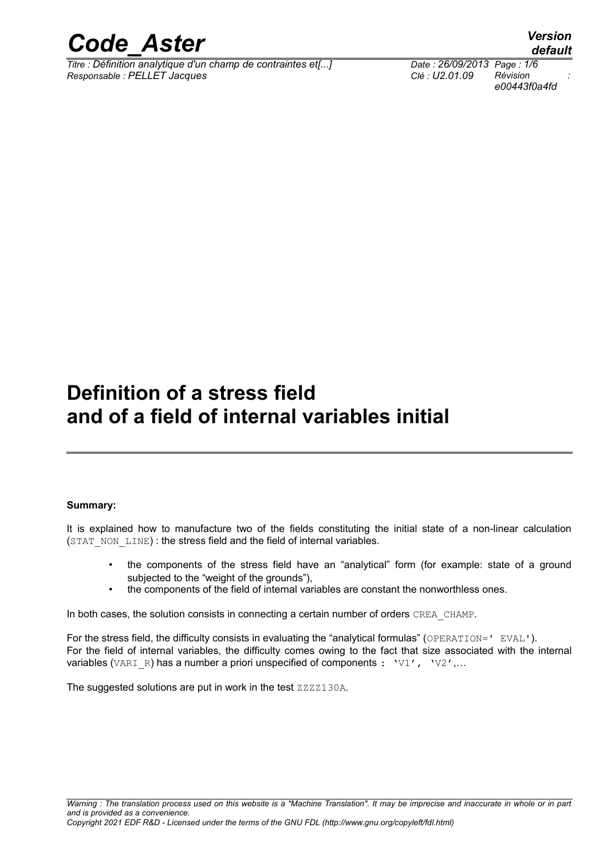

*Titre : Définition analytique d'un champ de contraintes et[...] Date : 26/09/2013 Page : 1/6 Responsable : PELLET Jacques Clé : U2.01.09 Révision :*

*e00443f0a4fd*

*default*

## **Definition of a stress field and of a field of internal variables initial**

#### **Summary:**

It is explained how to manufacture two of the fields constituting the initial state of a non-linear calculation (STAT\_NON\_LINE) : the stress field and the field of internal variables.

- the components of the stress field have an "analytical" form (for example: state of a ground subjected to the "weight of the grounds"),
- the components of the field of internal variables are constant the nonworthless ones.

In both cases, the solution consists in connecting a certain number of orders CREA\_CHAMP.

For the stress field, the difficulty consists in evaluating the "analytical formulas" (OPERATION=' EVAL'). For the field of internal variables, the difficulty comes owing to the fact that size associated with the internal variables (VARI R) has a number a priori unspecified of components : 'V1', 'V2',...

The suggested solutions are put in work in the test ZZZZ130A.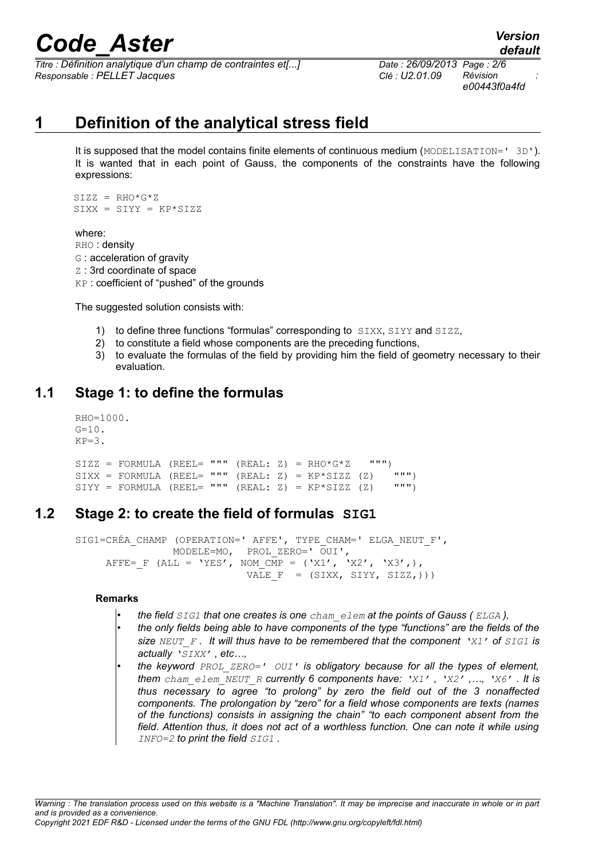*Titre : Définition analytique d'un champ de contraintes et[...] Date : 26/09/2013 Page : 2/6 Responsable : PELLET Jacques Clé : U2.01.09 Révision :*

*e00443f0a4fd*

*default*

## **1 Definition of the analytical stress field**

It is supposed that the model contains finite elements of continuous medium (MODELISATION=' 3D'). It is wanted that in each point of Gauss, the components of the constraints have the following expressions:

 $SIZZ = RHO*G*Z$  $SIXX = SIYY = KP*SIZZ$ 

where:

- RHO : density
- G : acceleration of gravity
- Z : 3rd coordinate of space
- KP : coefficient of "pushed" of the grounds

The suggested solution consists with:

- 1) to define three functions "formulas" corresponding to SIXX, SIYY and SIZZ,
- 2) to constitute a field whose components are the preceding functions,
- 3) to evaluate the formulas of the field by providing him the field of geometry necessary to their evaluation.

### **1.1 Stage 1: to define the formulas**

```
RHO=1000.
\texttt{G=10} .
KP=3.
SIZZ = FORMULA (REEL= """ (REAL: Z) = RHO*G*Z """)<br>
STYZ = FORMIIA (REEL= """ (REAL: Z) = KP*SIZZ (Z) """)
SIXX = FORMULA (REEL= """ (REAL: Z) = KP*SIZZ (Z) """)<br>SIVY = FORMULA (REEL= """ (REAL: Z) = KP*SIZZ (Z) """)
SIYY = FORMULA (REEL = """" (REAL: Z) = KP*SIZE (Z)
```
### **1.2 Stage 2: to create the field of formulas SIG1**

```
SIG1=CRÉA CHAMP (OPERATION=' AFFE', TYPE CHAM=' ELGA NEUT F',
                 MODELE=MO, PROL_ZERO=' OUI',
     AFFE= F (ALL = 'YES', NOM \overline{MP} = ('X1', 'X2', 'X3',),
                             VALE F = (SIXX, SYY, SIZZ,)))
```
#### **Remarks**

- *the field SIG1 that one creates is one cham\_elem at the points of Gauss ( ELGA ),*
- *the only fields being able to have components of the type "functions" are the fields of the size NEUT\_F . It will thus have to be remembered that the component 'X1' of SIG1 is actually 'SIXX' , etc…,*
- *the keyword PROL\_ZERO=' OUI' is obligatory because for all the types of element, them cham\_elem\_NEUT\_R currently 6 components have: 'X1' , 'X2' ,…, 'X6' . It is thus necessary to agree "to prolong" by zero the field out of the 3 nonaffected components. The prolongation by "zero" for a field whose components are texts (names of the functions) consists in assigning the chain" "to each component absent from the field. Attention thus, it does not act of a worthless function. One can note it while using INFO=2 to print the field SIG1 .*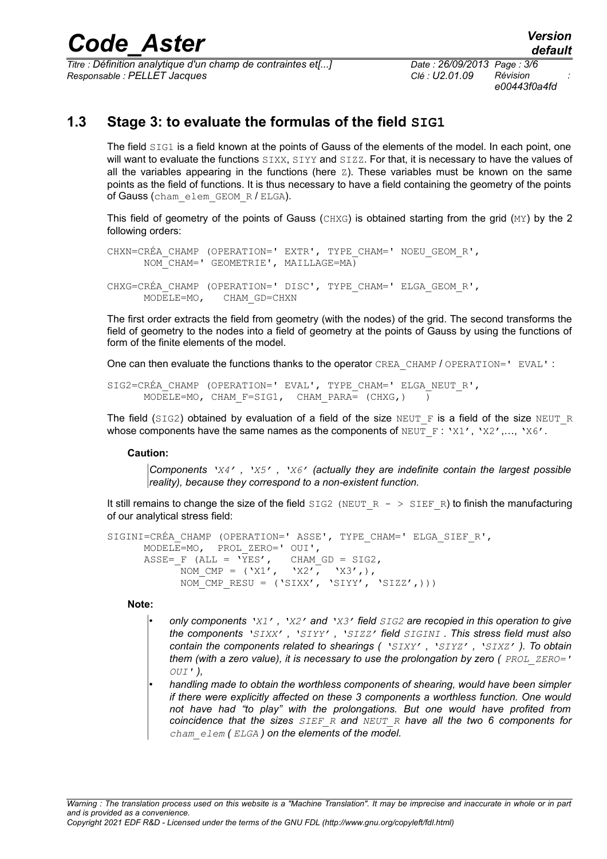*Titre : Définition analytique d'un champ de contraintes et[...] Date : 26/09/2013 Page : 3/6 Responsable : PELLET Jacques Clé : U2.01.09 Révision :*

*e00443f0a4fd*

## **1.3 Stage 3: to evaluate the formulas of the field SIG1**

The field SIG1 is a field known at the points of Gauss of the elements of the model. In each point, one will want to evaluate the functions SIXX, SIYY and SIZZ. For that, it is necessary to have the values of all the variables appearing in the functions (here  $Z$ ). These variables must be known on the same points as the field of functions. It is thus necessary to have a field containing the geometry of the points of Gauss (cham elem GEOM R / ELGA).

This field of geometry of the points of Gauss (CHXG) is obtained starting from the grid (MY) by the 2 following orders:

CHXN=CRÉA\_CHAMP (OPERATION=' EXTR', TYPE\_CHAM=' NOEU\_GEOM\_R', NOM\_CHAM=' GEOMETRIE', MAILLAGE=MA) CHXG=CRÉA\_CHAMP (OPERATION=' DISC', TYPE\_CHAM=' ELGA\_GEOM\_R',

 MODELE=MO, CHAM\_GD=CHXN The first order extracts the field from geometry (with the nodes) of the grid. The second transforms the

field of geometry to the nodes into a field of geometry at the points of Gauss by using the functions of form of the finite elements of the model.

One can then evaluate the functions thanks to the operator CREA\_CHAMP / OPERATION=' EVAL' :

SIG2=CRÉA CHAMP (OPERATION=' EVAL', TYPE CHAM=' ELGA NEUT R', MODELE=MO, CHAM F=SIG1, CHAM PARA=  $(CHXG, )$  )

The field (SIG2) obtained by evaluation of a field of the size NEUT F is a field of the size NEUT R whose components have the same names as the components of  $NEUT_F : 'X1', 'X2', ..., 'X6'.$ 

#### **Caution:**

*Components 'X4' , 'X5' , 'X6' (actually they are indefinite contain the largest possible reality), because they correspond to a non-existent function.* 

It still remains to change the size of the field  $SIG2$  (NEUT  $R - > SIEF$  R) to finish the manufacturing of our analytical stress field:

```
SIGINI=CRÉA_CHAMP (OPERATION=' ASSE', TYPE_CHAM=' ELGA_SIEF_R',
      MODELE=MO, PROL_ZERO=' OUI',
\texttt{ASSE}=\texttt{F} (ALL = 'YES', CHAM_GD = SIG2,
NOM CMP = ('X1', 'X2', 'X3',),NOM CMP RESU = ('SIXX', 'SIYY', 'SIZZ',)))
```
**Note:**

- *only components 'X1' , 'X2' and 'X3' field SIG2 are recopied in this operation to give the components 'SIXX' , 'SIYY' , 'SIZZ' field SIGINI . This stress field must also contain the components related to shearings ( 'SIXY' , 'SIYZ' , 'SIXZ' ). To obtain them (with a zero value), it is necessary to use the prolongation by zero ( PROL\_ZERO=' OUI' ),*
- *handling made to obtain the worthless components of shearing, would have been simpler if there were explicitly affected on these 3 components a worthless function. One would not have had "to play" with the prolongations. But one would have profited from coincidence that the sizes SIEF\_R and NEUT\_R have all the two 6 components for cham\_elem ( ELGA ) on the elements of the model.*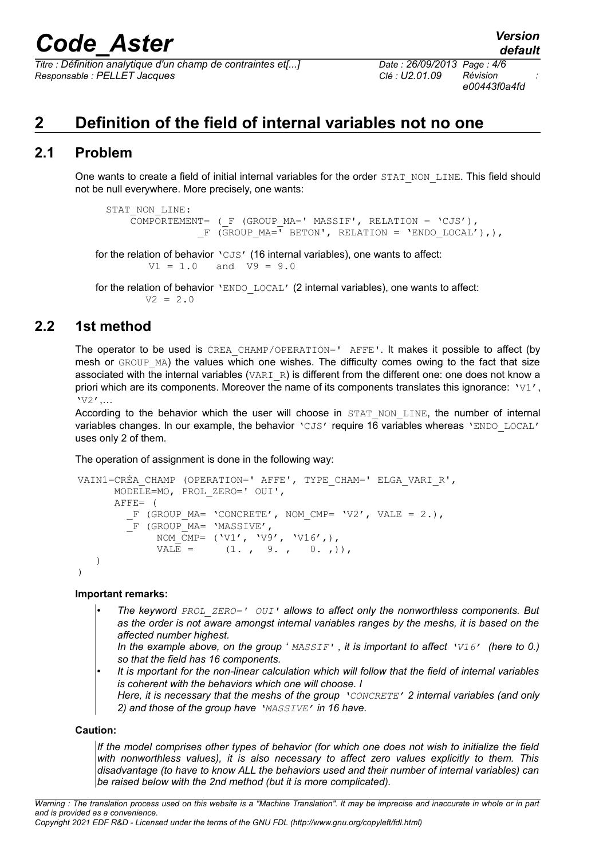*Titre : Définition analytique d'un champ de contraintes et[...] Date : 26/09/2013 Page : 4/6 Responsable : PELLET Jacques Clé : U2.01.09 Révision :*

## **2 Definition of the field of internal variables not no one**

### **2.1 Problem**

One wants to create a field of initial internal variables for the order STAT\_NON\_LINE. This field should not be null everywhere. More precisely, one wants:

```
STAT_NON_LINE:
        COMPORTEMENT= (_F (GROUP_MA=' MASSIF', RELATION = 'CJS'),
                    F (GROUP MA=<sup>T</sup> BETON', RELATION = 'ENDO LOCAL'),),
for the relation of behavior 'CJS' (16 internal variables), one wants to affect:
          V1 = 1.0 and V9 = 9.0for the relation of behavior 'ENDO LOCAL' (2 internal variables), one wants to affect:
```

```
V2 = 2.0
```
## **2.2 1st method**

The operator to be used is CREA\_CHAMP/OPERATION=' AFFE'. It makes it possible to affect (by mesh or GROUP MA) the values which one wishes. The difficulty comes owing to the fact that size associated with the internal variables (VARI  $R$ ) is different from the different one: one does not know a priori which are its components. Moreover the name of its components translates this ignorance: 'V1', 'V2',…

According to the behavior which the user will choose in STAT NON LINE, the number of internal variables changes. In our example, the behavior 'CJS' require 16 variables whereas 'ENDO LOCAL' uses only 2 of them.

The operation of assignment is done in the following way:

```
 VAIN1=CRÉA_CHAMP (OPERATION=' AFFE', TYPE_CHAM=' ELGA_VARI_R',
              MODELE=MO, PROL_ZERO=' OUI',
              AFFE= (
               F (GROUP_MA= 'CONCRETE', NOM CMP= 'V2', VALE = 2.),
               F (GROUPM =MASSIVE',
                     NOM_\overline{\text{C}}\text{MP}= ('V1', 'V9', 'V16',),
                     \text{VAL} = (1. , 9. , 0. , ))) )
```
#### **Important remarks:**

- *The keyword PROL\_ZERO=' OUI' allows to affect only the nonworthless components. But as the order is not aware amongst internal variables ranges by the meshs, it is based on the affected number highest.* 
	- *In the example above, on the group ' MASSIF' , it is important to affect 'V16' (here to 0.) so that the field has 16 components.*
- *It is mportant for the non-linear calculation which will follow that the field of internal variables is coherent with the behaviors which one will choose. I*
- *Here, it is necessary that the meshs of the group 'CONCRETE' 2 internal variables (and only 2) and those of the group have 'MASSIVE' in 16 have.*

#### **Caution:**

*If the model comprises other types of behavior (for which one does not wish to initialize the field with nonworthless values), it is also necessary to affect zero values explicitly to them. This disadvantage (to have to know ALL the behaviors used and their number of internal variables) can be raised below with the 2nd method (but it is more complicated).*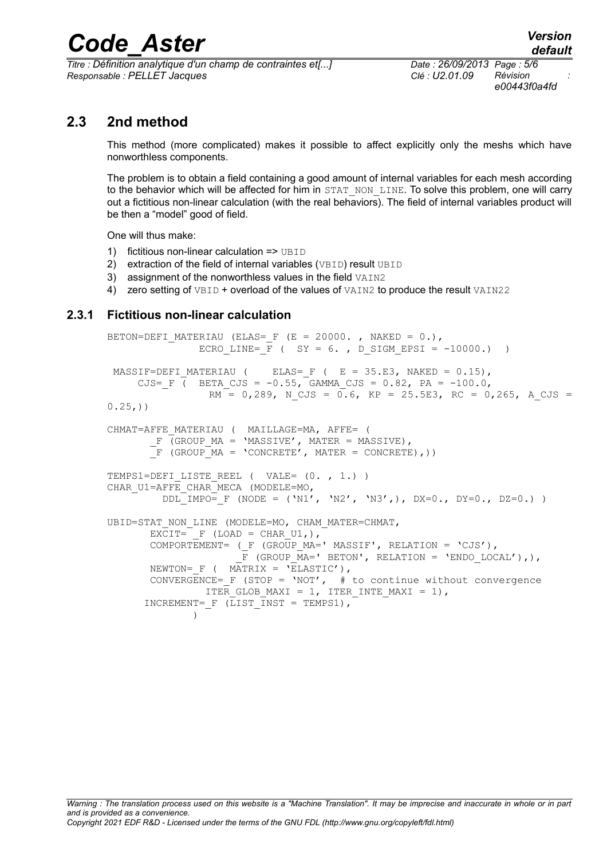*Titre : Définition analytique d'un champ de contraintes et[...] Date : 26/09/2013 Page : 5/6 Responsable : PELLET Jacques Clé : U2.01.09 Révision :*

*e00443f0a4fd*

### **2.3 2nd method**

This method (more complicated) makes it possible to affect explicitly only the meshs which have nonworthless components.

The problem is to obtain a field containing a good amount of internal variables for each mesh according to the behavior which will be affected for him in STAT\_NON\_LINE. To solve this problem, one will carry out a fictitious non-linear calculation (with the real behaviors). The field of internal variables product will be then a "model" good of field.

One will thus make:

- 1) fictitious non-linear calculation => UBID
- 2) extraction of the field of internal variables (VBID) result UBID
- 3) assignment of the nonworthless values in the field VAIN2
- 4) zero setting of VBID + overload of the values of VAIN2 to produce the result VAIN22

#### **2.3.1 Fictitious non-linear calculation**

```
BETON=DEFI MATERIAU (ELAS= F (E = 20000. , NAKED = 0.),
                ECRO LINE= F ( SY = 6. , D SIGM EPSI = -10000.) )
MASSIF=DEFI_MATERIAU ( ELAS=_F ( E = 35.E3, NAKED = 0.15),
\texttt{CJS}=\texttt{F} ( \texttt{BETA\_CJS} = -0.55, \texttt{GAMMA\_CJS} = 0.82, \texttt{PA} = -100.0,
                  RM = 0,289, N CJS = 0.6, KP = 25.5E3, RC = 0,265, A CJS =
0.25,)CHMAT=AFFE_MATERIAU ( MAILLAGE=MA, AFFE= (
        F (GROUP MA = 'MASSIVE', MATER = MASSIVE),
       \overline{F} (GROUP MA = 'CONCRETE', MATER = CONCRETE),))
TEMPS1=DEFI LISTE REEL ( VALE= (0. , 1.) )CHAR_U1=AFFE_CHAR_MECA (MODELE=MO,
         DDL<sup>-</sup>IMPO= F (NODE = ('N1', 'N2', 'N3',), DX=0., DY=0., DZ=0.) )
UBID=STAT_NON_LINE (MODELE=MO, CHAM_MATER=CHMAT,
       EXCIT= F (LOAD = CHAR U1,),COMPORTEMENT= (\_F \text{ (GROUP MA='} \text{MASSET'}, \text{ RELATION} = 'CJS'),
                       \overline{F} (GROUP MA=' BETON', RELATION = 'ENDO LOCAL'),),
       NEWTON= F ( MATRIX = 'ELASTIC'),
       CONVERGENCE= F (STOP = 'NOT', # to continue without convergence
                 ITER GLOB MAXI = 1, ITER INTE MAXI = 1),
      INCREMENT= F (LIST INST = TEMPS1),
 )
```